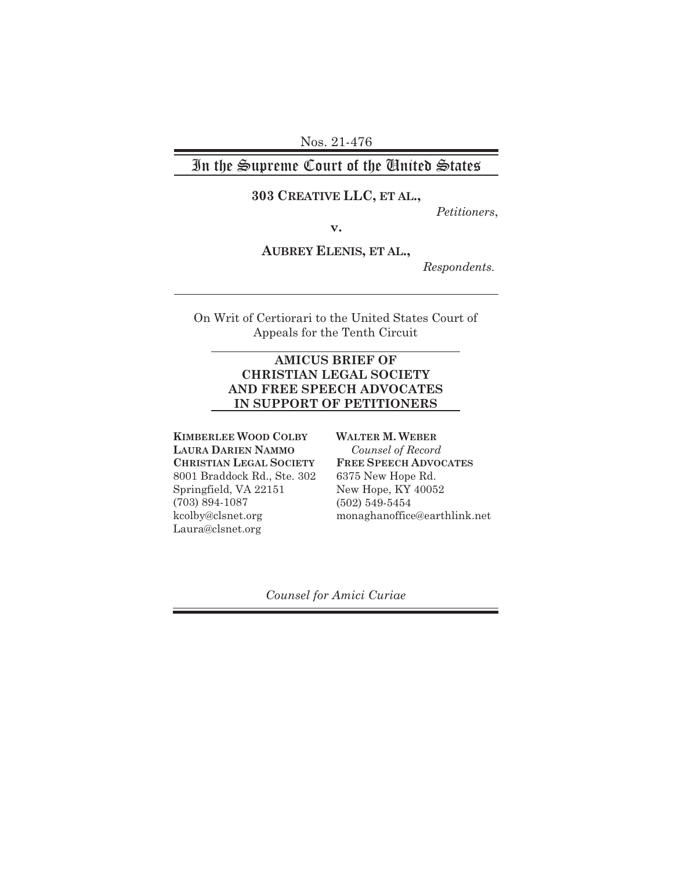Nos. 21-476

## In the Supreme Court of the United States

### **303 CREATIVE LLC, ET AL.,**

*Petitioners*,

**v.**

**AUBREY ELENIS, ET AL.,**

*Respondents.*

On Writ of Certiorari to the United States Court of Appeals for the Tenth Circuit

#### **AMICUS BRIEF OF CHRISTIAN LEGAL SOCIETY AND FREE SPEECH ADVOCATES IN SUPPORT OF PETITIONERS**

**KIMBERLEE WOOD COLBY LAURA DARIEN NAMMO CHRISTIAN LEGAL SOCIETY** 8001 Braddock Rd., Ste. 302 Springfield, VA 22151 (703) 894-1087 kcolby@clsnet.org Laura@clsnet.org

**WALTER M. WEBER** *Counsel of Record* **FREE SPEECH ADVOCATES** 6375 New Hope Rd. New Hope, KY 40052 (502) 549-5454 monaghanoffice@earthlink.net

*Counsel for Amici Curiae*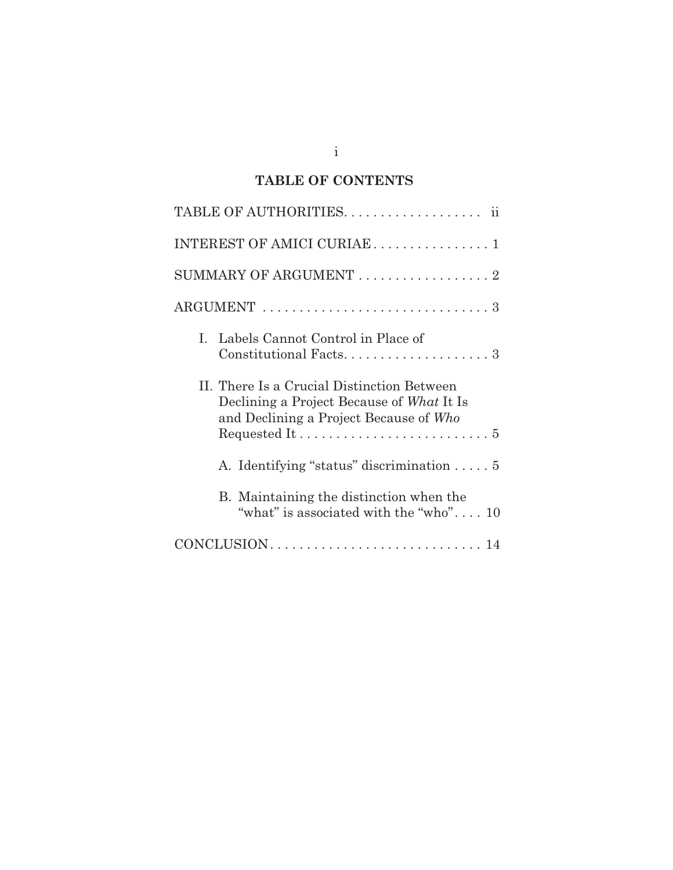## **TABLE OF CONTENTS**

| INTEREST OF AMICI CURIAE 1                                                                                                        |
|-----------------------------------------------------------------------------------------------------------------------------------|
|                                                                                                                                   |
|                                                                                                                                   |
| Labels Cannot Control in Place of<br>L<br>$Constitutional Facts \ldots \ldots \ldots \ldots \ldots \ldots 3$                      |
| II. There Is a Crucial Distinction Between<br>Declining a Project Because of What It Is<br>and Declining a Project Because of Who |
| A. Identifying "status" discrimination  5                                                                                         |
| B. Maintaining the distinction when the<br>"what" is associated with the "who" $10$                                               |
|                                                                                                                                   |

i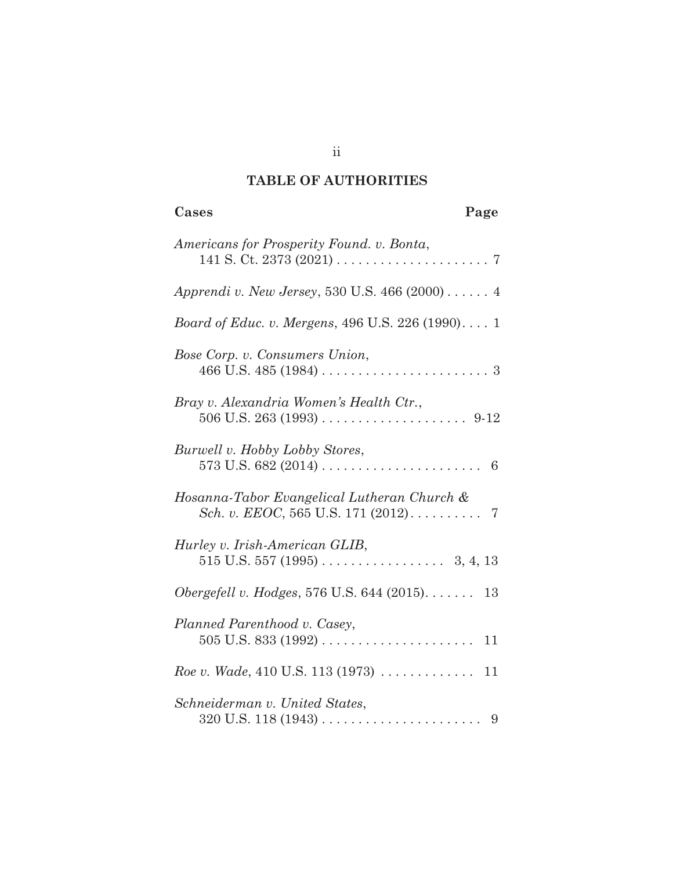## **TABLE OF AUTHORITIES**

| Cases<br>Page                                                             |
|---------------------------------------------------------------------------|
| Americans for Prosperity Found. v. Bonta,                                 |
| Apprendi v. New Jersey, 530 U.S. 466 (2000) 4                             |
| <i>Board of Educ. v. Mergens, 496 U.S. 226 (1990)</i> 1                   |
| Bose Corp. v. Consumers Union,                                            |
| Bray v. Alexandria Women's Health Ctr.,                                   |
| Burwell v. Hobby Lobby Stores,                                            |
| Hosanna-Tabor Evangelical Lutheran Church &                               |
| Hurley v. Irish-American GLIB,                                            |
| Obergefell v. Hodges, 576 U.S. 644 $(2015)$<br>13                         |
| Planned Parenthood v. Casey,                                              |
| <i>Roe v. Wade</i> , 410 U.S. 113 (1973) $\ldots \ldots \ldots \ldots 11$ |
| Schneiderman v. United States,                                            |

ii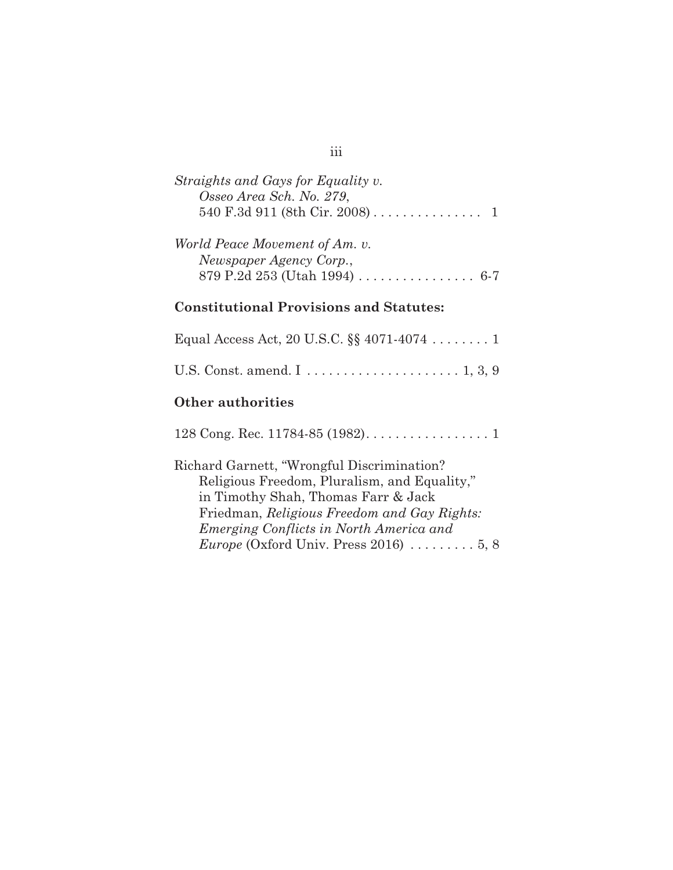# *Straights and Gays for Equality v. Osseo Area Sch. No. 279*, 540 F.3d 911 (8th Cir. 2008) ............... 1 *World Peace Movement of Am. v.*

| worta Peace movement of Am. v.                                    |  |
|-------------------------------------------------------------------|--|
| Newspaper Agency Corp.,                                           |  |
| 879 P.2d 253 (Utah 1994) $\ldots \ldots \ldots \ldots \ldots$ 6-7 |  |

## **Constitutional Provisions and Statutes:**

| Equal Access Act, 20 U.S.C. $\S$ 4071-4074  1 |  |
|-----------------------------------------------|--|
|                                               |  |

## **Other authorities**

|     |  | 128 Cong. Rec. 11784-85 (1982). $\dots \dots \dots \dots \dots \dots$ |  |  |  |  |  |  |  |
|-----|--|-----------------------------------------------------------------------|--|--|--|--|--|--|--|
| --- |  |                                                                       |  |  |  |  |  |  |  |

| Richard Garnett, "Wrongful Discrimination?                          |
|---------------------------------------------------------------------|
| Religious Freedom, Pluralism, and Equality,"                        |
| in Timothy Shah, Thomas Farr & Jack                                 |
| Friedman, Religious Freedom and Gay Rights:                         |
| Emerging Conflicts in North America and                             |
| <i>Europe</i> (Oxford Univ. Press 2016) $\ldots \ldots \ldots 5, 8$ |

## iii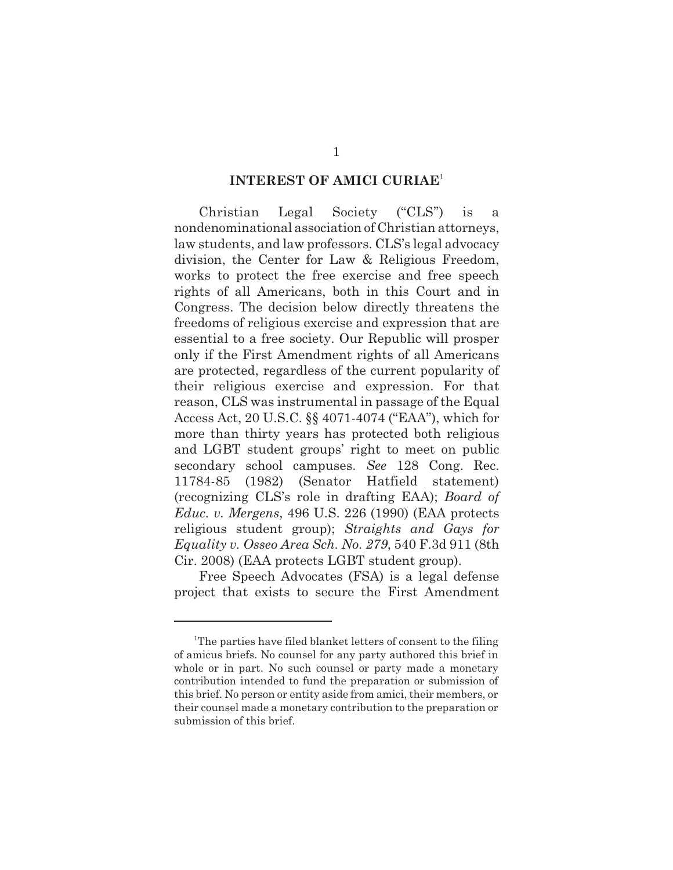#### **INTEREST OF AMICI CURIAE**<sup>1</sup>

Christian Legal Society ("CLS") is a nondenominational association of Christian attorneys, law students, and law professors. CLS's legal advocacy division, the Center for Law & Religious Freedom, works to protect the free exercise and free speech rights of all Americans, both in this Court and in Congress. The decision below directly threatens the freedoms of religious exercise and expression that are essential to a free society. Our Republic will prosper only if the First Amendment rights of all Americans are protected, regardless of the current popularity of their religious exercise and expression. For that reason, CLS was instrumental in passage of the Equal Access Act, 20 U.S.C. §§ 4071-4074 ("EAA"), which for more than thirty years has protected both religious and LGBT student groups' right to meet on public secondary school campuses. *See* 128 Cong. Rec. 11784-85 (1982) (Senator Hatfield statement) (recognizing CLS's role in drafting EAA); *Board of Educ. v. Mergens*, 496 U.S. 226 (1990) (EAA protects religious student group); *Straights and Gays for Equality v. Osseo Area Sch. No. 279*, 540 F.3d 911 (8th Cir. 2008) (EAA protects LGBT student group).

Free Speech Advocates (FSA) is a legal defense project that exists to secure the First Amendment

<sup>&</sup>lt;sup>1</sup>The parties have filed blanket letters of consent to the filing of amicus briefs. No counsel for any party authored this brief in whole or in part. No such counsel or party made a monetary contribution intended to fund the preparation or submission of this brief. No person or entity aside from amici, their members, or their counsel made a monetary contribution to the preparation or submission of this brief.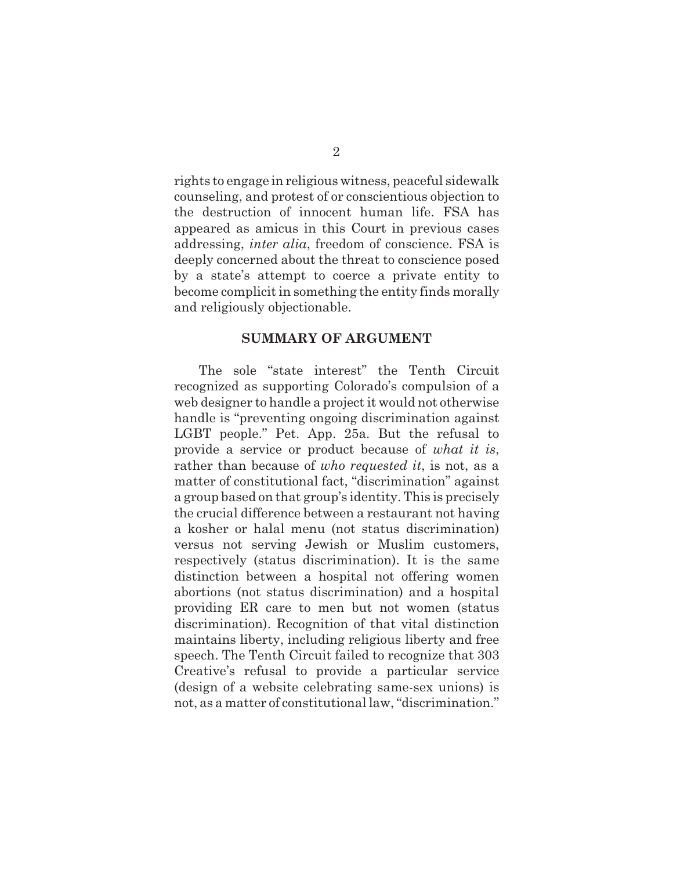rights to engage in religious witness, peaceful sidewalk counseling, and protest of or conscientious objection to the destruction of innocent human life. FSA has appeared as amicus in this Court in previous cases addressing, *inter alia*, freedom of conscience. FSA is deeply concerned about the threat to conscience posed by a state's attempt to coerce a private entity to become complicit in something the entity finds morally and religiously objectionable.

#### **SUMMARY OF ARGUMENT**

The sole "state interest" the Tenth Circuit recognized as supporting Colorado's compulsion of a web designer to handle a project it would not otherwise handle is "preventing ongoing discrimination against LGBT people." Pet. App. 25a. But the refusal to provide a service or product because of *what it is*, rather than because of *who requested it*, is not, as a matter of constitutional fact, "discrimination" against a group based on that group's identity. This is precisely the crucial difference between a restaurant not having a kosher or halal menu (not status discrimination) versus not serving Jewish or Muslim customers, respectively (status discrimination). It is the same distinction between a hospital not offering women abortions (not status discrimination) and a hospital providing ER care to men but not women (status discrimination). Recognition of that vital distinction maintains liberty, including religious liberty and free speech. The Tenth Circuit failed to recognize that 303 Creative's refusal to provide a particular service (design of a website celebrating same-sex unions) is not, as a matter of constitutional law, "discrimination."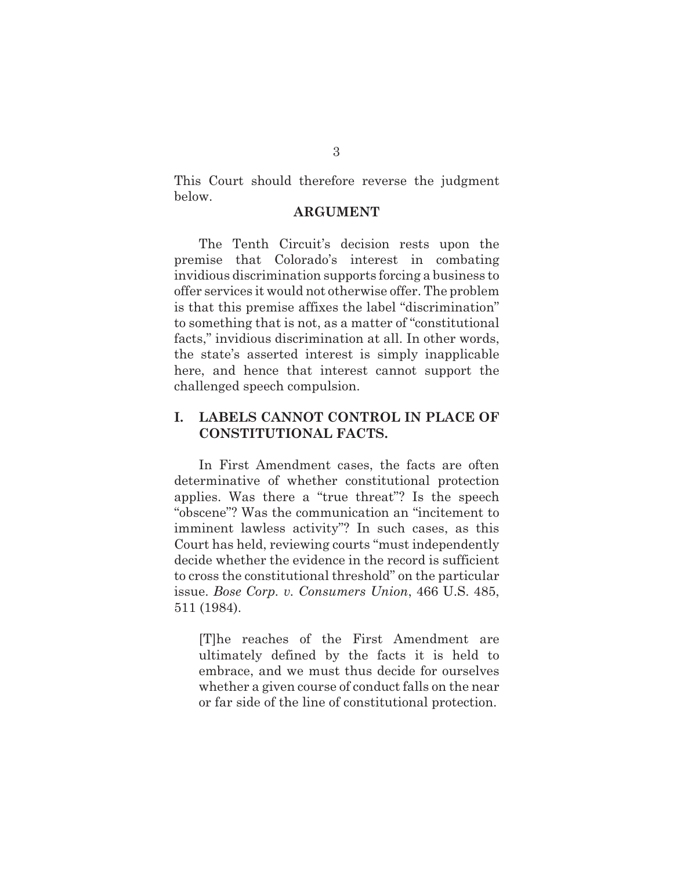This Court should therefore reverse the judgment below.

#### **ARGUMENT**

The Tenth Circuit's decision rests upon the premise that Colorado's interest in combating invidious discrimination supports forcing a business to offer services it would not otherwise offer. The problem is that this premise affixes the label "discrimination" to something that is not, as a matter of "constitutional facts," invidious discrimination at all. In other words, the state's asserted interest is simply inapplicable here, and hence that interest cannot support the challenged speech compulsion.

### **I. LABELS CANNOT CONTROL IN PLACE OF CONSTITUTIONAL FACTS.**

In First Amendment cases, the facts are often determinative of whether constitutional protection applies. Was there a "true threat"? Is the speech "obscene"? Was the communication an "incitement to imminent lawless activity"? In such cases, as this Court has held, reviewing courts "must independently decide whether the evidence in the record is sufficient to cross the constitutional threshold" on the particular issue. *Bose Corp. v. Consumers Union*, 466 U.S. 485, 511 (1984).

[T]he reaches of the First Amendment are ultimately defined by the facts it is held to embrace, and we must thus decide for ourselves whether a given course of conduct falls on the near or far side of the line of constitutional protection.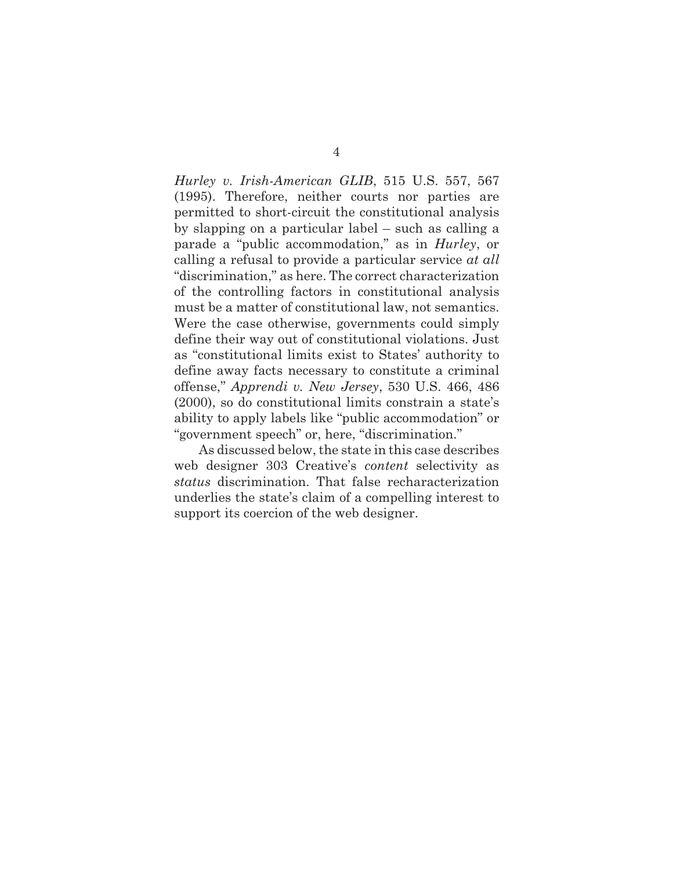*Hurley v. Irish-American GLIB*, 515 U.S. 557, 567 (1995). Therefore, neither courts nor parties are permitted to short-circuit the constitutional analysis by slapping on a particular label – such as calling a parade a "public accommodation," as in *Hurley*, or calling a refusal to provide a particular service *at all* "discrimination," as here. The correct characterization of the controlling factors in constitutional analysis must be a matter of constitutional law, not semantics. Were the case otherwise, governments could simply define their way out of constitutional violations. Just as "constitutional limits exist to States' authority to define away facts necessary to constitute a criminal offense," *Apprendi v. New Jersey*, 530 U.S. 466, 486 (2000), so do constitutional limits constrain a state's ability to apply labels like "public accommodation" or "government speech" or, here, "discrimination."

As discussed below, the state in this case describes web designer 303 Creative's *content* selectivity as *status* discrimination. That false recharacterization underlies the state's claim of a compelling interest to support its coercion of the web designer.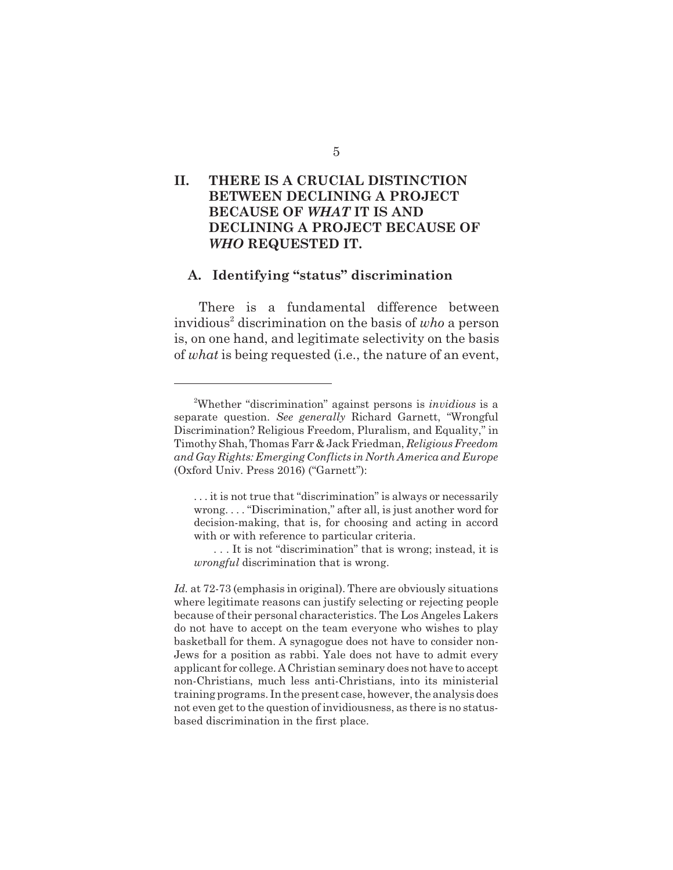## **II. THERE IS A CRUCIAL DISTINCTION BETWEEN DECLINING A PROJECT BECAUSE OF** *WHAT* **IT IS AND DECLINING A PROJECT BECAUSE OF** *WHO* **REQUESTED IT.**

#### **A. Identifying "status" discrimination**

There is a fundamental difference between invidious<sup>2</sup> discrimination on the basis of who a person is, on one hand, and legitimate selectivity on the basis of *what* is being requested (i.e., the nature of an event,

<sup>2</sup> Whether "discrimination" against persons is *invidious* is a separate question. *See generally* Richard Garnett, "Wrongful Discrimination? Religious Freedom, Pluralism, and Equality," in Timothy Shah, Thomas Farr & Jack Friedman, *Religious Freedom and Gay Rights: Emerging Conflicts in North America and Europe* (Oxford Univ. Press 2016) ("Garnett"):

<sup>. . .</sup> it is not true that "discrimination" is always or necessarily wrong. . . . "Discrimination," after all, is just another word for decision-making, that is, for choosing and acting in accord with or with reference to particular criteria.

<sup>. . .</sup> It is not "discrimination" that is wrong; instead, it is *wrongful* discrimination that is wrong.

*Id.* at 72-73 (emphasis in original). There are obviously situations where legitimate reasons can justify selecting or rejecting people because of their personal characteristics. The Los Angeles Lakers do not have to accept on the team everyone who wishes to play basketball for them. A synagogue does not have to consider non-Jews for a position as rabbi. Yale does not have to admit every applicant for college. A Christian seminary does not have to accept non-Christians, much less anti-Christians, into its ministerial training programs. In the present case, however, the analysis does not even get to the question of invidiousness, as there is no statusbased discrimination in the first place.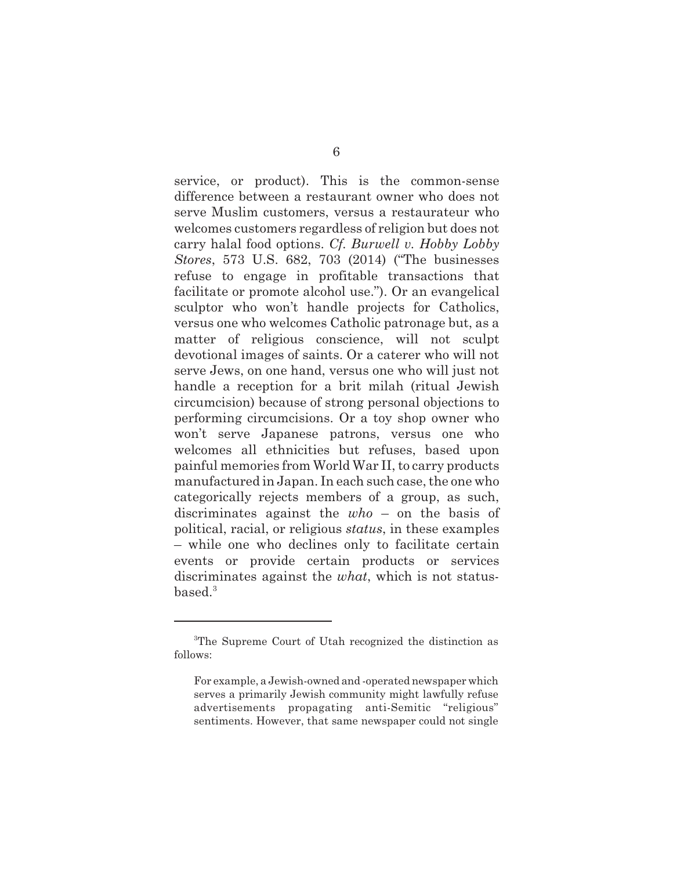service, or product). This is the common-sense difference between a restaurant owner who does not serve Muslim customers, versus a restaurateur who welcomes customers regardless of religion but does not carry halal food options. *Cf. Burwell v. Hobby Lobby Stores*, 573 U.S. 682, 703 (2014) ("The businesses refuse to engage in profitable transactions that facilitate or promote alcohol use."). Or an evangelical sculptor who won't handle projects for Catholics, versus one who welcomes Catholic patronage but, as a matter of religious conscience, will not sculpt devotional images of saints. Or a caterer who will not serve Jews, on one hand, versus one who will just not handle a reception for a brit milah (ritual Jewish circumcision) because of strong personal objections to performing circumcisions. Or a toy shop owner who won't serve Japanese patrons, versus one who welcomes all ethnicities but refuses, based upon painful memories from World War II, to carry products manufactured in Japan. In each such case, the one who categorically rejects members of a group, as such, discriminates against the *who* – on the basis of political, racial, or religious *status*, in these examples – while one who declines only to facilitate certain events or provide certain products or services discriminates against the *what*, which is not status $based.<sup>3</sup>$ 

<sup>&</sup>lt;sup>3</sup>The Supreme Court of Utah recognized the distinction as follows:

For example, a Jewish-owned and -operated newspaper which serves a primarily Jewish community might lawfully refuse advertisements propagating anti-Semitic "religious" sentiments. However, that same newspaper could not single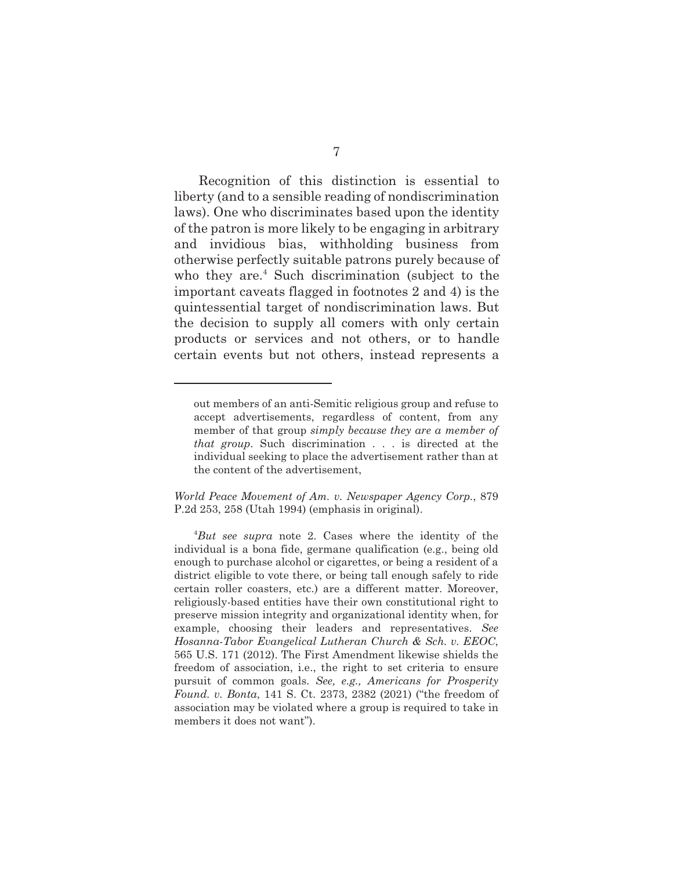Recognition of this distinction is essential to liberty (and to a sensible reading of nondiscrimination laws). One who discriminates based upon the identity of the patron is more likely to be engaging in arbitrary and invidious bias, withholding business from otherwise perfectly suitable patrons purely because of who they are.<sup>4</sup> Such discrimination (subject to the important caveats flagged in footnotes 2 and 4) is the quintessential target of nondiscrimination laws. But the decision to supply all comers with only certain products or services and not others, or to handle certain events but not others, instead represents a

*World Peace Movement of Am. v. Newspaper Agency Corp.*, 879 P.2d 253, 258 (Utah 1994) (emphasis in original).

out members of an anti-Semitic religious group and refuse to accept advertisements, regardless of content, from any member of that group *simply because they are a member of that group*. Such discrimination . . . is directed at the individual seeking to place the advertisement rather than at the content of the advertisement,

<sup>4</sup> *But see supra* note 2. Cases where the identity of the individual is a bona fide, germane qualification (e.g., being old enough to purchase alcohol or cigarettes, or being a resident of a district eligible to vote there, or being tall enough safely to ride certain roller coasters, etc.) are a different matter. Moreover, religiously-based entities have their own constitutional right to preserve mission integrity and organizational identity when, for example, choosing their leaders and representatives. *See Hosanna-Tabor Evangelical Lutheran Church & Sch. v. EEOC*, 565 U.S. 171 (2012). The First Amendment likewise shields the freedom of association, i.e., the right to set criteria to ensure pursuit of common goals. *See, e.g., Americans for Prosperity Found. v. Bonta*, 141 S. Ct. 2373, 2382 (2021) ("the freedom of association may be violated where a group is required to take in members it does not want").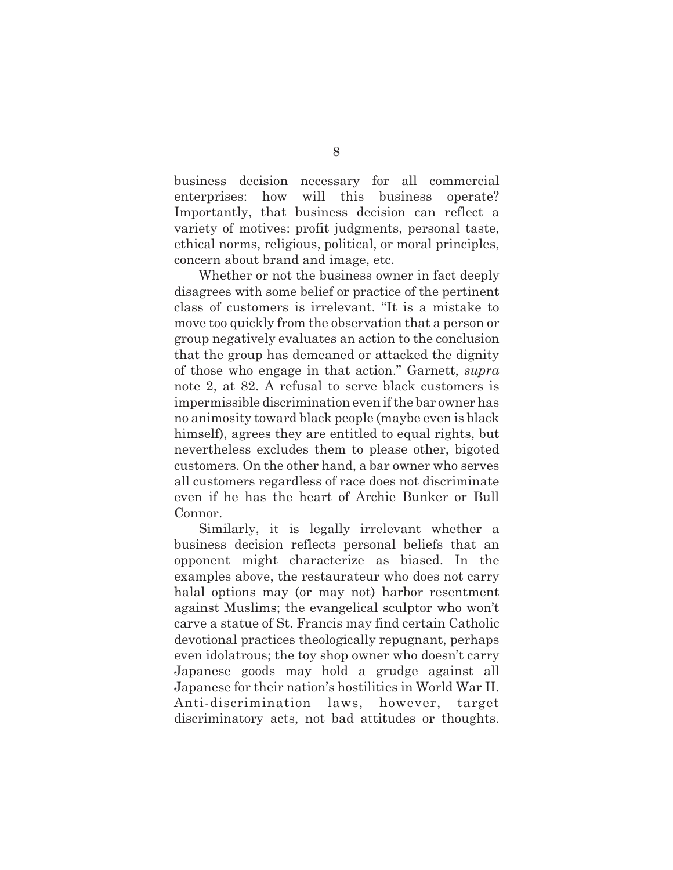business decision necessary for all commercial enterprises: how will this business operate? Importantly, that business decision can reflect a variety of motives: profit judgments, personal taste, ethical norms, religious, political, or moral principles, concern about brand and image, etc.

Whether or not the business owner in fact deeply disagrees with some belief or practice of the pertinent class of customers is irrelevant. "It is a mistake to move too quickly from the observation that a person or group negatively evaluates an action to the conclusion that the group has demeaned or attacked the dignity of those who engage in that action." Garnett, *supra* note 2, at 82. A refusal to serve black customers is impermissible discrimination even if the bar owner has no animosity toward black people (maybe even is black himself), agrees they are entitled to equal rights, but nevertheless excludes them to please other, bigoted customers. On the other hand, a bar owner who serves all customers regardless of race does not discriminate even if he has the heart of Archie Bunker or Bull Connor.

Similarly, it is legally irrelevant whether a business decision reflects personal beliefs that an opponent might characterize as biased. In the examples above, the restaurateur who does not carry halal options may (or may not) harbor resentment against Muslims; the evangelical sculptor who won't carve a statue of St. Francis may find certain Catholic devotional practices theologically repugnant, perhaps even idolatrous; the toy shop owner who doesn't carry Japanese goods may hold a grudge against all Japanese for their nation's hostilities in World War II. Anti-discrimination laws, however, target discriminatory acts, not bad attitudes or thoughts.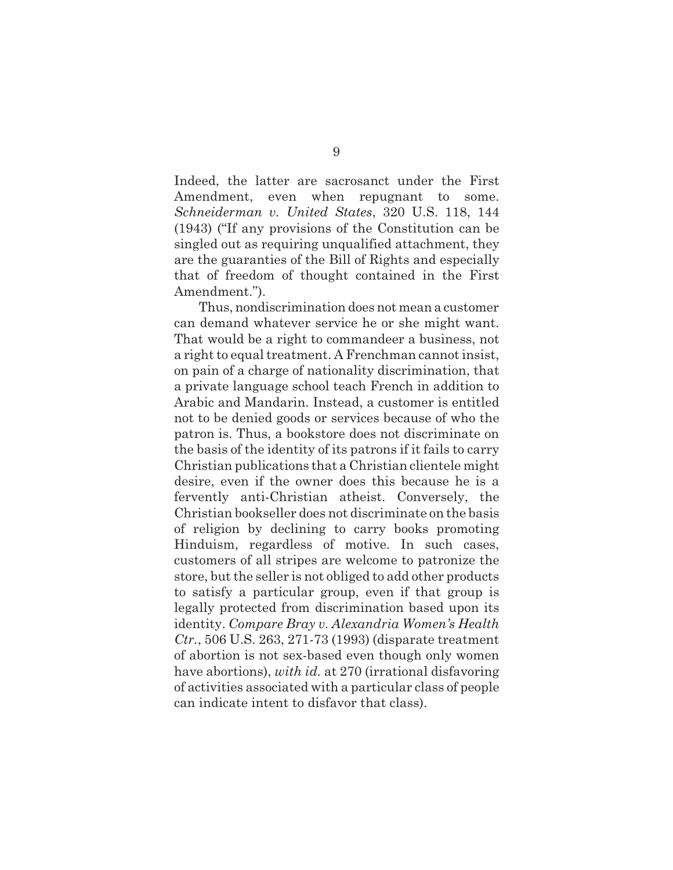Indeed, the latter are sacrosanct under the First Amendment, even when repugnant to some. *Schneiderman v. United States*, 320 U.S. 118, 144 (1943) ("If any provisions of the Constitution can be singled out as requiring unqualified attachment, they are the guaranties of the Bill of Rights and especially that of freedom of thought contained in the First Amendment.").

Thus, nondiscrimination does not mean a customer can demand whatever service he or she might want. That would be a right to commandeer a business, not a right to equal treatment. A Frenchman cannot insist, on pain of a charge of nationality discrimination, that a private language school teach French in addition to Arabic and Mandarin. Instead, a customer is entitled not to be denied goods or services because of who the patron is. Thus, a bookstore does not discriminate on the basis of the identity of its patrons if it fails to carry Christian publications that a Christian clientele might desire, even if the owner does this because he is a fervently anti-Christian atheist. Conversely, the Christian bookseller does not discriminate on the basis of religion by declining to carry books promoting Hinduism, regardless of motive. In such cases, customers of all stripes are welcome to patronize the store, but the seller is not obliged to add other products to satisfy a particular group, even if that group is legally protected from discrimination based upon its identity. *Compare Bray v. Alexandria Women's Health Ctr.*, 506 U.S. 263, 271-73 (1993) (disparate treatment of abortion is not sex-based even though only women have abortions), *with id.* at 270 (irrational disfavoring of activities associated with a particular class of people can indicate intent to disfavor that class).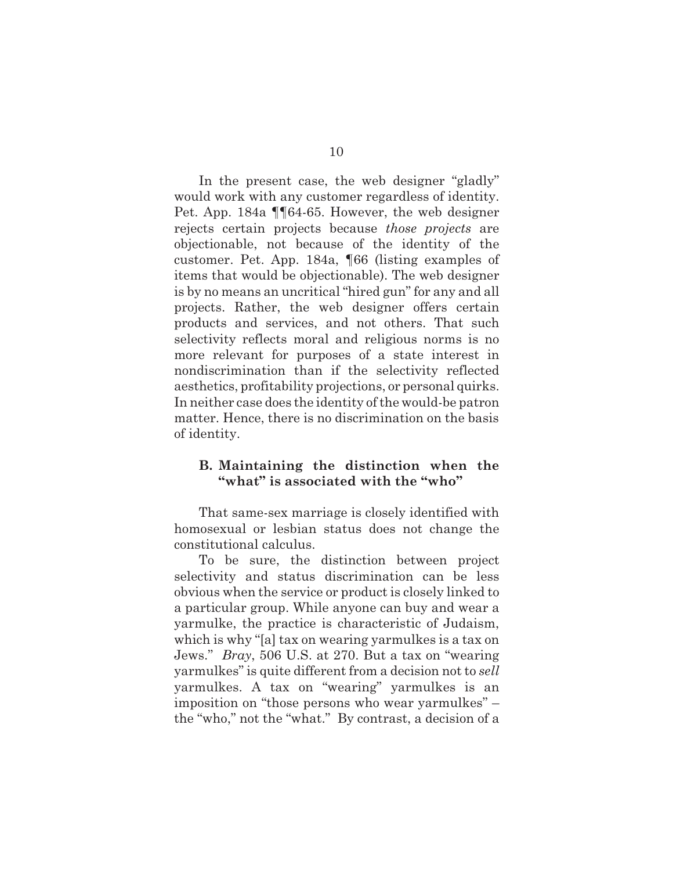In the present case, the web designer "gladly" would work with any customer regardless of identity. Pet. App. 184a ¶¶64-65. However, the web designer rejects certain projects because *those projects* are objectionable, not because of the identity of the customer. Pet. App. 184a, ¶66 (listing examples of items that would be objectionable). The web designer is by no means an uncritical "hired gun" for any and all projects. Rather, the web designer offers certain products and services, and not others. That such selectivity reflects moral and religious norms is no more relevant for purposes of a state interest in nondiscrimination than if the selectivity reflected aesthetics, profitability projections, or personal quirks. In neither case does the identity of the would-be patron matter. Hence, there is no discrimination on the basis of identity.

### **B. Maintaining the distinction when the "what" is associated with the "who"**

That same-sex marriage is closely identified with homosexual or lesbian status does not change the constitutional calculus.

To be sure, the distinction between project selectivity and status discrimination can be less obvious when the service or product is closely linked to a particular group. While anyone can buy and wear a yarmulke, the practice is characteristic of Judaism, which is why "[a] tax on wearing yarmulkes is a tax on Jews." *Bray*, 506 U.S. at 270. But a tax on "wearing yarmulkes" is quite different from a decision not to *sell* yarmulkes. A tax on "wearing" yarmulkes is an imposition on "those persons who wear yarmulkes" – the "who," not the "what." By contrast, a decision of a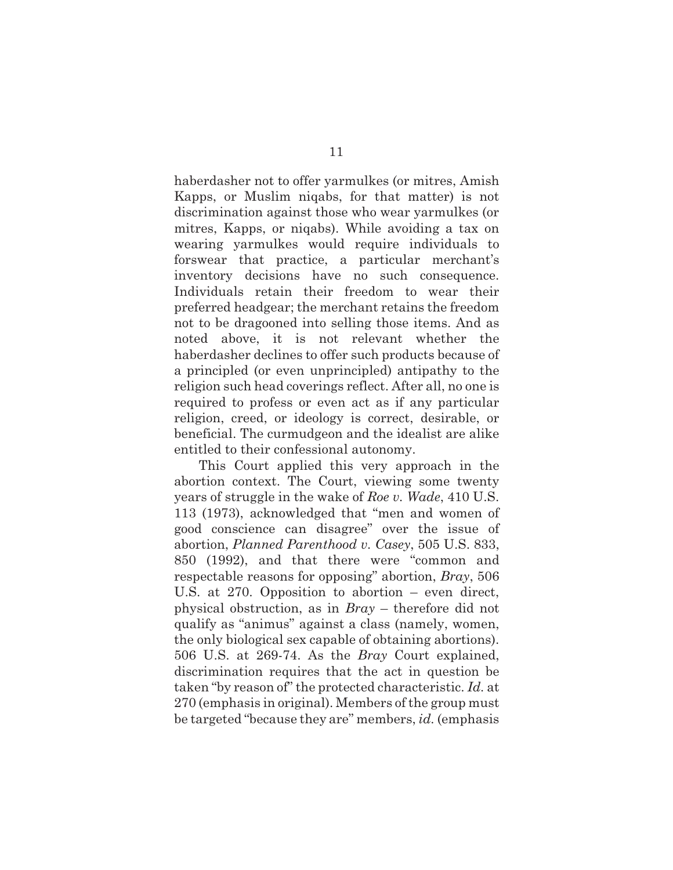haberdasher not to offer yarmulkes (or mitres, Amish Kapps, or Muslim niqabs, for that matter) is not discrimination against those who wear yarmulkes (or mitres, Kapps, or niqabs). While avoiding a tax on wearing yarmulkes would require individuals to forswear that practice, a particular merchant's inventory decisions have no such consequence. Individuals retain their freedom to wear their preferred headgear; the merchant retains the freedom not to be dragooned into selling those items. And as noted above, it is not relevant whether the haberdasher declines to offer such products because of a principled (or even unprincipled) antipathy to the religion such head coverings reflect. After all, no one is required to profess or even act as if any particular religion, creed, or ideology is correct, desirable, or beneficial. The curmudgeon and the idealist are alike entitled to their confessional autonomy.

This Court applied this very approach in the abortion context. The Court, viewing some twenty years of struggle in the wake of *Roe v. Wade*, 410 U.S. 113 (1973), acknowledged that "men and women of good conscience can disagree" over the issue of abortion, *Planned Parenthood v. Casey*, 505 U.S. 833, 850 (1992), and that there were "common and respectable reasons for opposing" abortion, *Bray*, 506 U.S. at 270. Opposition to abortion – even direct, physical obstruction, as in *Bray* – therefore did not qualify as "animus" against a class (namely, women, the only biological sex capable of obtaining abortions). 506 U.S. at 269-74. As the *Bray* Court explained, discrimination requires that the act in question be taken "by reason of" the protected characteristic. *Id.* at 270 (emphasis in original). Members of the group must be targeted "because they are" members, *id.* (emphasis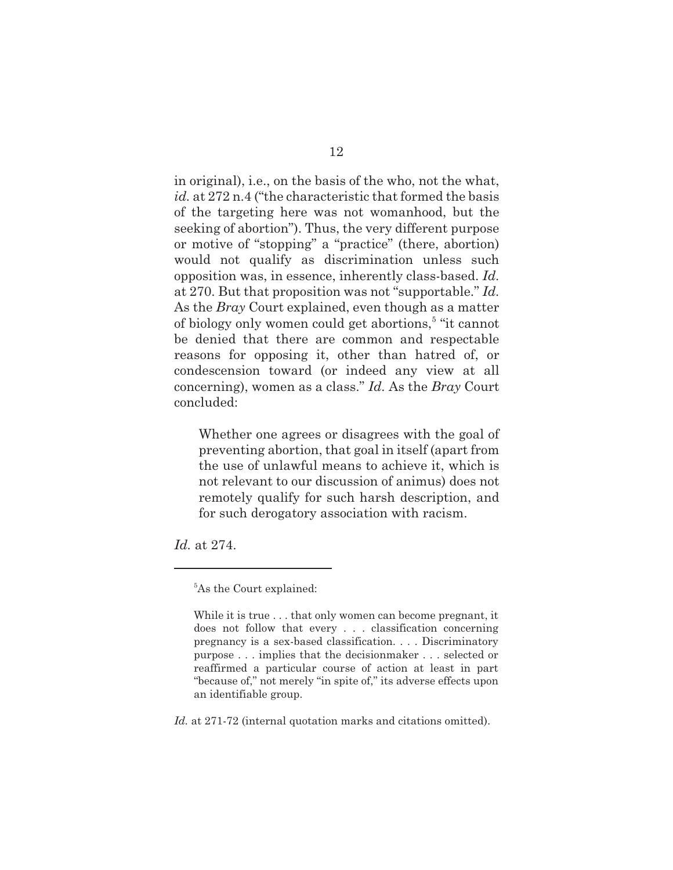in original), i.e., on the basis of the who, not the what, *id.* at 272 n.4 ("the characteristic that formed the basis of the targeting here was not womanhood, but the seeking of abortion"). Thus, the very different purpose or motive of "stopping" a "practice" (there, abortion) would not qualify as discrimination unless such opposition was, in essence, inherently class-based. *Id.* at 270. But that proposition was not "supportable." *Id.* As the *Bray* Court explained, even though as a matter of biology only women could get abortions,<sup>5</sup> "it cannot be denied that there are common and respectable reasons for opposing it, other than hatred of, or condescension toward (or indeed any view at all concerning), women as a class." *Id.* As the *Bray* Court concluded:

Whether one agrees or disagrees with the goal of preventing abortion, that goal in itself (apart from the use of unlawful means to achieve it, which is not relevant to our discussion of animus) does not remotely qualify for such harsh description, and for such derogatory association with racism.

*Id.* at 274.

*Id.* at 271-72 (internal quotation marks and citations omitted).

<sup>&</sup>lt;sup>5</sup>As the Court explained:

While it is true . . . that only women can become pregnant, it does not follow that every . . . classification concerning pregnancy is a sex-based classification. . . . Discriminatory purpose . . . implies that the decisionmaker . . . selected or reaffirmed a particular course of action at least in part "because of," not merely "in spite of," its adverse effects upon an identifiable group.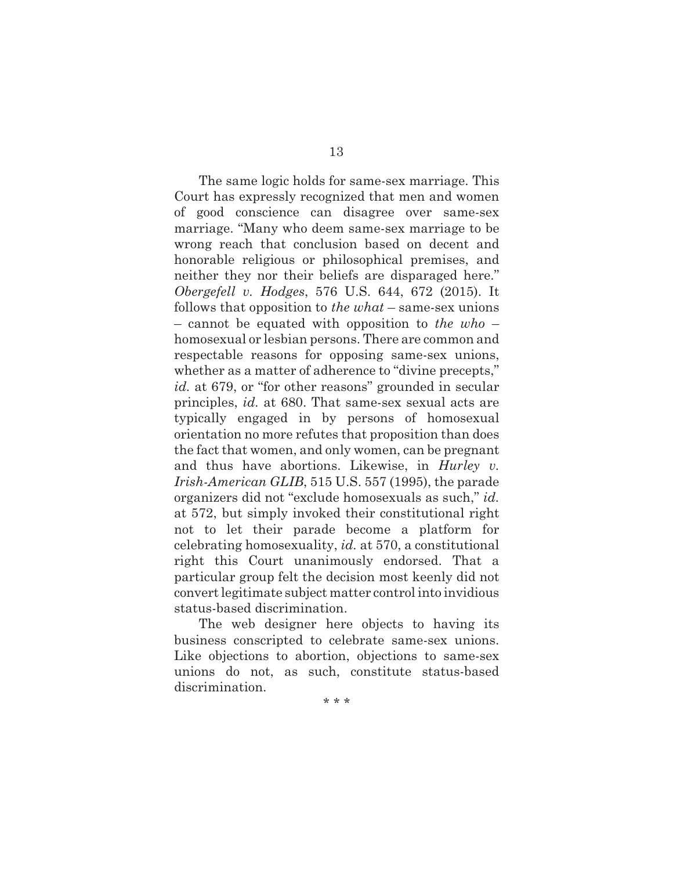The same logic holds for same-sex marriage. This Court has expressly recognized that men and women of good conscience can disagree over same-sex marriage. "Many who deem same-sex marriage to be wrong reach that conclusion based on decent and honorable religious or philosophical premises, and neither they nor their beliefs are disparaged here." *Obergefell v. Hodges*, 576 U.S. 644, 672 (2015). It follows that opposition to *the what* – same-sex unions – cannot be equated with opposition to *the who* – homosexual or lesbian persons. There are common and respectable reasons for opposing same-sex unions, whether as a matter of adherence to "divine precepts," *id.* at 679, or "for other reasons" grounded in secular principles, *id.* at 680. That same-sex sexual acts are typically engaged in by persons of homosexual orientation no more refutes that proposition than does the fact that women, and only women, can be pregnant and thus have abortions. Likewise, in *Hurley v. Irish-American GLIB*, 515 U.S. 557 (1995), the parade organizers did not "exclude homosexuals as such," *id.* at 572, but simply invoked their constitutional right not to let their parade become a platform for celebrating homosexuality, *id.* at 570, a constitutional right this Court unanimously endorsed. That a particular group felt the decision most keenly did not convert legitimate subject matter control into invidious status-based discrimination.

The web designer here objects to having its business conscripted to celebrate same-sex unions. Like objections to abortion, objections to same-sex unions do not, as such, constitute status-based discrimination.

\* \* \*